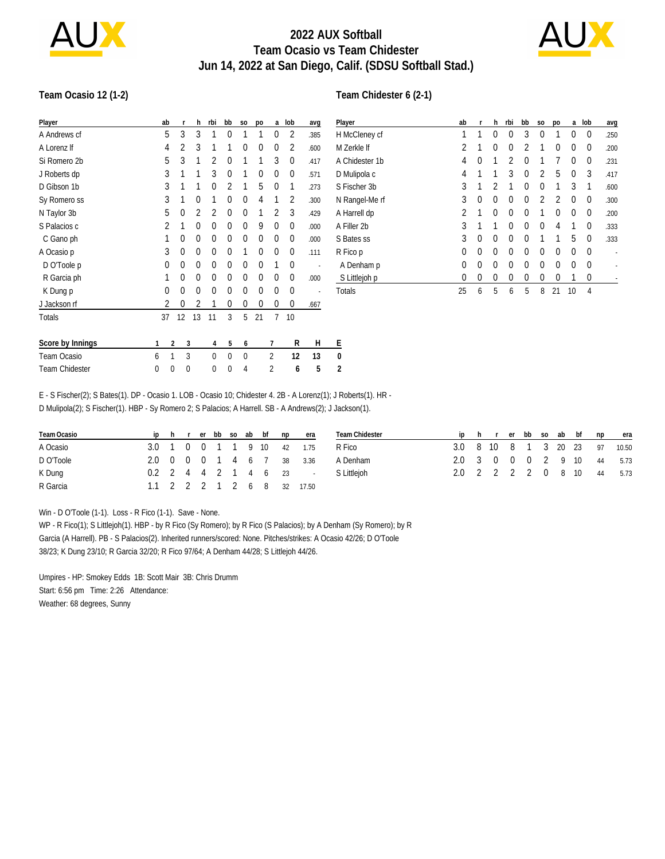

## **2022 AUX Softball Team Ocasio vs Team Chidester Jun 14, 2022 at San Diego, Calif. (SDSU Softball Stad.)**



#### **Team Ocasio 12 (1-2)**

| Player           |   | ab       | r  | h        | rbi      | bb       | S <sub>0</sub> | po       | a              | lob         | avg  | $\mathsf{P}$ |
|------------------|---|----------|----|----------|----------|----------|----------------|----------|----------------|-------------|------|--------------|
| A Andrews cf     |   | 5        | 3  | 3        | 1        | $\Omega$ |                | 1        | 0              | 2           | .385 | H            |
| A Lorenz If      |   | 4        | 2  | 3        | 1        | 1        | 0              | $\Omega$ | 0              | 2           | .600 | M            |
| Si Romero 2b     |   | 5        | 3  | 1        | 2        | $\Omega$ | 1              | 1        | 3              | $\mathbf 0$ | .417 | Α            |
| J Roberts dp     |   | 3        | 1  | 1        | 3        | $\Omega$ | 1              | $\Omega$ | 0              | 0           | .571 | D            |
| D Gibson 1b      |   | 3        | 1  | 1        | 0        | 2        | 1              | 5        | 0              | 1           | .273 | S            |
| Sy Romero ss     |   | 3        | 1  | 0        | 1        | $\Omega$ | 0              | 4        | 1              | 2           | .300 | Ν            |
| N Taylor 3b      |   | 5        | 0  | 2        | 2        | $\Omega$ | 0              | 1        | $\overline{2}$ | 3           | .429 | Α            |
| S Palacios c     |   | 2        | 1  | 0        | 0        | $\Omega$ | 0              | 9        | 0              | 0           | .000 | Α            |
| C Gano ph        |   | 1        | 0  | $\Omega$ | 0        | $\Omega$ | 0              | $\Omega$ | 0              | 0           | .000 | S            |
| A Ocasio p       |   | 3        | 0  | 0        | 0        | $\Omega$ | 1              | $\Omega$ | 0              | $\theta$    | .111 | R            |
| D O'Toole p      |   | 0        | 0  | 0        | 0        | $\Omega$ | 0              | $\Omega$ | 1              | $\theta$    |      | ı            |
| R Garcia ph      |   | 1        | 0  | 0        | 0        | $\Omega$ | 0              | $\Omega$ | 0              | $\theta$    | .000 |              |
| K Dung p         |   | $\theta$ | 0  | $\Omega$ | 0        | $\Omega$ | 0              | $\Omega$ | 0              | $\theta$    |      | Τ            |
| J Jackson rf     |   | 2        | 0  | 2        | 1        | $\Omega$ | 0              | $\Omega$ | 0              | $\theta$    | .667 |              |
| Totals           |   | 37       | 12 | 13       | 11       | 3        | 5              | 21       | 7              | 10          |      |              |
| Score by Innings | 1 | 2        | 3  |          | 4        | 5        | 6              |          | 7              | R           | Н    | Ε            |
| Team Ocasio      | 6 | 1        | 3  |          | $\Omega$ | $\Omega$ | $\Omega$       |          | $\overline{2}$ | 12          | 13   | 0            |
| Team Chidester   | 0 | 0        | 0  |          | 0        | 0        | 4              |          | $\overline{2}$ | 6           | 5    | 2            |

| Player         | ab       | r | h              | rbi      | bb             | S <sub>0</sub> | po | a        | lob      | avg  |
|----------------|----------|---|----------------|----------|----------------|----------------|----|----------|----------|------|
| H McCleney cf  | 1        | 1 | 0              | $\Omega$ | 3              | $\Omega$       | 1  | $\Omega$ | $\Omega$ | .250 |
| M Zerkle If    | 2        | 1 | 0              | $\Omega$ | $\overline{2}$ | 1              | 0  | $\Omega$ | $\Omega$ | .200 |
| A Chidester 1b | 4        | 0 | 1              | 2        | 0              | 1              | 7  | $\Omega$ | $\Omega$ | .231 |
| D Mulipola c   | 4        | 1 | 1              | 3        | 0              | $\mathfrak{p}$ | 5  | $\Omega$ | 3        | .417 |
| S Fischer 3b   | 3        | 1 | $\overline{2}$ | 1        | 0              | $\Omega$       | 1  | 3        | 1        | .600 |
| N Rangel-Me rf | 3        | 0 | 0              | 0        | 0              | 2              | 2  | $\Omega$ | $\Omega$ | .300 |
| A Harrell dp   | 2        | 1 | 0              | 0        | 0              | 1              | 0  | $\Omega$ | 0        | .200 |
| A Filler 2b    | 3        | 1 | 1              | 0        | 0              | $\Omega$       | 4  | 1        | $\Omega$ | .333 |
| S Bates ss     | 3        | 0 | 0              | 0        | 0              | 1              | 1  | 5        | $\Omega$ | .333 |
| R Fico p       | 0        | 0 | 0              | $\Omega$ | 0              | $\Omega$       | 0  | $\Omega$ | $\Omega$ |      |
| A Denham p     | 0        | 0 | 0              | $\Omega$ | 0              | $\Omega$       | 0  | 0        | $\Omega$ |      |
| S Littlejoh p  | $\Omega$ | 0 | 0              | 0        | 0              | $\Omega$       | 0  | 1        | 0        |      |
| Totals         | 25       | 6 | 5              | 6        | 5              | 8              | 21 | 10       | 4        |      |

E - S Fischer(2); S Bates(1). DP - Ocasio 1. LOB - Ocasio 10; Chidester 4. 2B - A Lorenz(1); J Roberts(1). HR - D Mulipola(2); S Fischer(1). HBP - Sy Romero 2; S Palacios; A Harrell. SB - A Andrews(2); J Jackson(1).

| Team Ocasio |  |  |  |  | iphrerbbsoabbfnpera        | Team Chidester                     |                               |  |  |  |  | iphrerbbsoabbf npera |
|-------------|--|--|--|--|----------------------------|------------------------------------|-------------------------------|--|--|--|--|----------------------|
| A Ocasio    |  |  |  |  | 3.0 1 0 0 1 1 9 10 42 1.75 | R Fico                             | 3.0 8 10 8 1 3 20 23 97 10.50 |  |  |  |  |                      |
| D O'Toole   |  |  |  |  | 2.0 0 0 0 1 4 6 7 38 3.36  | A Denham                           | 2.0 3 0 0 0 2 9 10 44 5.73    |  |  |  |  |                      |
| K Dung      |  |  |  |  |                            | 0.2 2 4 4 2 1 4 6 23 - S Littlejoh | 2.0 2 2 2 2 0 8 10 44 5.73    |  |  |  |  |                      |
| R Garcia    |  |  |  |  | 1.1 2 2 2 1 2 6 8 32 17.50 |                                    |                               |  |  |  |  |                      |

Win - D O'Toole (1-1). Loss - R Fico (1-1). Save - None.

WP - R Fico(1); S Littlejoh(1). HBP - by R Fico (Sy Romero); by R Fico (S Palacios); by A Denham (Sy Romero); by R Garcia (A Harrell). PB - S Palacios(2). Inherited runners/scored: None. Pitches/strikes: A Ocasio 42/26; D O'Toole 38/23; K Dung 23/10; R Garcia 32/20; R Fico 97/64; A Denham 44/28; S Littlejoh 44/26.

Umpires - HP: Smokey Edds 1B: Scott Mair 3B: Chris Drumm Start: 6:56 pm Time: 2:26 Attendance: Weather: 68 degrees, Sunny

#### **Team Chidester 6 (2-1)**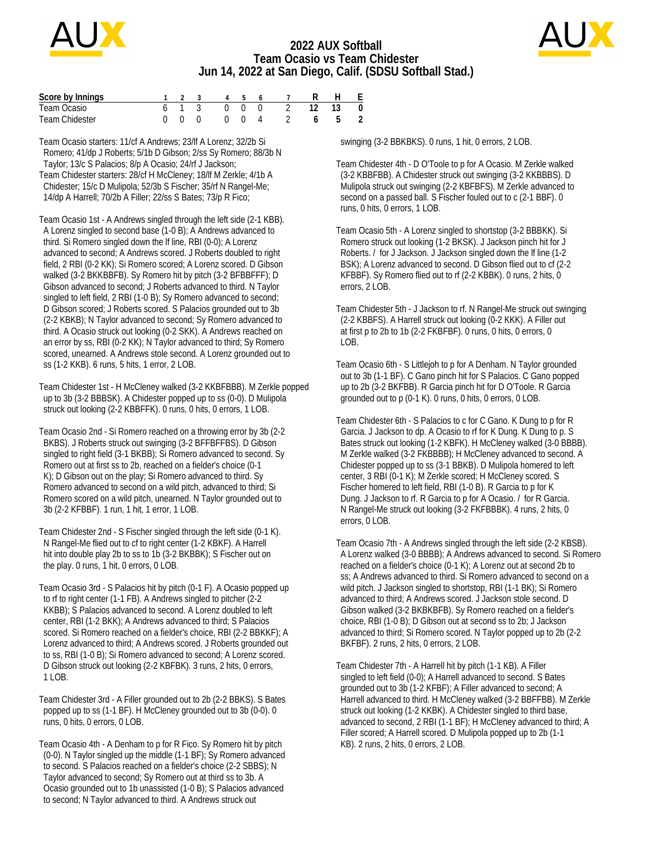

### **2022 AUX Softball Team Ocasio vs Team Chidester Jun 14, 2022 at San Diego, Calif. (SDSU Softball Stad.)**



| Score by Innings      |     |  |       | 1 2 3 4 5 6 7         | H F   |  |
|-----------------------|-----|--|-------|-----------------------|-------|--|
| Team Ocasio           |     |  |       | 6 1 3 0 0 0 2 12 13 0 |       |  |
| <b>Team Chidester</b> | 000 |  | 0 0 4 |                       | 6 5 2 |  |

Team Ocasio starters: 11/cf A Andrews; 23/lf A Lorenz; 32/2b Si Romero; 41/dp J Roberts; 5/1b D Gibson; 2/ss Sy Romero; 88/3b N Taylor; 13/c S Palacios; 8/p A Ocasio; 24/rf J Jackson; Team Chidester starters: 28/cf H McCleney; 18/lf M Zerkle; 4/1b A Chidester; 15/c D Mulipola; 52/3b S Fischer; 35/rf N Rangel-Me; 14/dp A Harrell; 70/2b A Filler; 22/ss S Bates; 73/p R Fico;

Team Ocasio 1st - A Andrews singled through the left side (2-1 KBB). A Lorenz singled to second base (1-0 B); A Andrews advanced to third. Si Romero singled down the lf line, RBI (0-0); A Lorenz advanced to second; A Andrews scored. J Roberts doubled to right field, 2 RBI (0-2 KK); Si Romero scored; A Lorenz scored. D Gibson walked (3-2 BKKBBFB). Sy Romero hit by pitch (3-2 BFBBFFF); D Gibson advanced to second; J Roberts advanced to third. N Taylor singled to left field, 2 RBI (1-0 B); Sy Romero advanced to second; D Gibson scored; J Roberts scored. S Palacios grounded out to 3b (2-2 KBKB); N Taylor advanced to second; Sy Romero advanced to third. A Ocasio struck out looking (0-2 SKK). A Andrews reached on an error by ss, RBI (0-2 KK); N Taylor advanced to third; Sy Romero scored, unearned. A Andrews stole second. A Lorenz grounded out to ss (1-2 KKB). 6 runs, 5 hits, 1 error, 2 LOB.

Team Chidester 1st - H McCleney walked (3-2 KKBFBBB). M Zerkle popped up to 3b (3-2 BBBSK). A Chidester popped up to ss (0-0). D Mulipola struck out looking (2-2 KBBFFK). 0 runs, 0 hits, 0 errors, 1 LOB.

Team Ocasio 2nd - Si Romero reached on a throwing error by 3b (2-2 BKBS). J Roberts struck out swinging (3-2 BFFBFFBS). D Gibson singled to right field (3-1 BKBB); Si Romero advanced to second. Sy Romero out at first ss to 2b, reached on a fielder's choice (0-1 K); D Gibson out on the play; Si Romero advanced to third. Sy Romero advanced to second on a wild pitch, advanced to third; Si Romero scored on a wild pitch, unearned. N Taylor grounded out to 3b (2-2 KFBBF). 1 run, 1 hit, 1 error, 1 LOB.

Team Chidester 2nd - S Fischer singled through the left side (0-1 K). N Rangel-Me flied out to cf to right center (1-2 KBKF). A Harrell hit into double play 2b to ss to 1b (3-2 BKBBK); S Fischer out on the play. 0 runs, 1 hit, 0 errors, 0 LOB.

Team Ocasio 3rd - S Palacios hit by pitch (0-1 F). A Ocasio popped up to rf to right center (1-1 FB). A Andrews singled to pitcher (2-2 KKBB); S Palacios advanced to second. A Lorenz doubled to left center, RBI (1-2 BKK); A Andrews advanced to third; S Palacios scored. Si Romero reached on a fielder's choice, RBI (2-2 BBKKF); A Lorenz advanced to third; A Andrews scored. J Roberts grounded out to ss, RBI (1-0 B); Si Romero advanced to second; A Lorenz scored. D Gibson struck out looking (2-2 KBFBK). 3 runs, 2 hits, 0 errors, 1 LOB.

Team Chidester 3rd - A Filler grounded out to 2b (2-2 BBKS). S Bates popped up to ss (1-1 BF). H McCleney grounded out to 3b (0-0). 0 runs, 0 hits, 0 errors, 0 LOB.

Team Ocasio 4th - A Denham to p for R Fico. Sy Romero hit by pitch (0-0). N Taylor singled up the middle (1-1 BF); Sy Romero advanced to second. S Palacios reached on a fielder's choice (2-2 SBBS); N Taylor advanced to second; Sy Romero out at third ss to 3b. A Ocasio grounded out to 1b unassisted (1-0 B); S Palacios advanced to second; N Taylor advanced to third. A Andrews struck out

swinging (3-2 BBKBKS). 0 runs, 1 hit, 0 errors, 2 LOB.

Team Chidester 4th - D O'Toole to p for A Ocasio. M Zerkle walked (3-2 KBBFBB). A Chidester struck out swinging (3-2 KKBBBS). D Mulipola struck out swinging (2-2 KBFBFS). M Zerkle advanced to second on a passed ball. S Fischer fouled out to c (2-1 BBF). 0 runs, 0 hits, 0 errors, 1 LOB.

Team Ocasio 5th - A Lorenz singled to shortstop (3-2 BBBKK). Si Romero struck out looking (1-2 BKSK). J Jackson pinch hit for J Roberts. / for J Jackson. J Jackson singled down the lf line (1-2 BSK); A Lorenz advanced to second. D Gibson flied out to cf (2-2 KFBBF). Sy Romero flied out to rf (2-2 KBBK). 0 runs, 2 hits, 0 errors, 2 LOB.

Team Chidester 5th - J Jackson to rf. N Rangel-Me struck out swinging (2-2 KBBFS). A Harrell struck out looking (0-2 KKK). A Filler out at first p to 2b to 1b (2-2 FKBFBF). 0 runs, 0 hits, 0 errors, 0 LOB.

Team Ocasio 6th - S Littlejoh to p for A Denham. N Taylor grounded out to 3b (1-1 BF). C Gano pinch hit for S Palacios. C Gano popped up to 2b (3-2 BKFBB). R Garcia pinch hit for D O'Toole. R Garcia grounded out to p (0-1 K). 0 runs, 0 hits, 0 errors, 0 LOB.

Team Chidester 6th - S Palacios to c for C Gano. K Dung to p for R Garcia. J Jackson to dp. A Ocasio to rf for K Dung. K Dung to p. S Bates struck out looking (1-2 KBFK). H McCleney walked (3-0 BBBB). M Zerkle walked (3-2 FKBBBB); H McCleney advanced to second. A Chidester popped up to ss (3-1 BBKB). D Mulipola homered to left center, 3 RBI (0-1 K); M Zerkle scored; H McCleney scored. S Fischer homered to left field, RBI (1-0 B). R Garcia to p for K Dung. J Jackson to rf. R Garcia to p for A Ocasio. / for R Garcia. N Rangel-Me struck out looking (3-2 FKFBBBK). 4 runs, 2 hits, 0 errors, 0 LOB.

Team Ocasio 7th - A Andrews singled through the left side (2-2 KBSB). A Lorenz walked (3-0 BBBB); A Andrews advanced to second. Si Romero reached on a fielder's choice (0-1 K); A Lorenz out at second 2b to ss; A Andrews advanced to third. Si Romero advanced to second on a wild pitch. J Jackson singled to shortstop, RBI (1-1 BK); Si Romero advanced to third; A Andrews scored. J Jackson stole second. D Gibson walked (3-2 BKBKBFB). Sy Romero reached on a fielder's choice, RBI (1-0 B); D Gibson out at second ss to 2b; J Jackson advanced to third; Si Romero scored. N Taylor popped up to 2b (2-2 BKFBF). 2 runs, 2 hits, 0 errors, 2 LOB.

Team Chidester 7th - A Harrell hit by pitch (1-1 KB). A Filler singled to left field (0-0); A Harrell advanced to second. S Bates grounded out to 3b (1-2 KFBF); A Filler advanced to second; A Harrell advanced to third. H McCleney walked (3-2 BBFFBB). M Zerkle struck out looking (1-2 KKBK). A Chidester singled to third base, advanced to second, 2 RBI (1-1 BF); H McCleney advanced to third; A Filler scored; A Harrell scored. D Mulipola popped up to 2b (1-1 KB). 2 runs, 2 hits, 0 errors, 2 LOB.